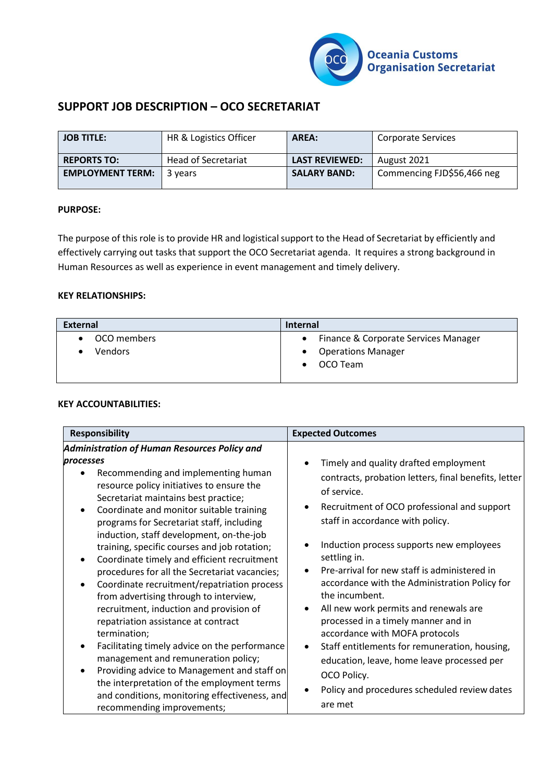

# **SUPPORT JOB DESCRIPTION – OCO SECRETARIAT**

| <b>JOB TITLE:</b>       | HR & Logistics Officer | AREA:                 | Corporate Services         |
|-------------------------|------------------------|-----------------------|----------------------------|
| <b>REPORTS TO:</b>      | Head of Secretariat    | <b>LAST REVIEWED:</b> | August 2021                |
| <b>EMPLOYMENT TERM:</b> | 3 years                | <b>SALARY BAND:</b>   | Commencing FJD\$56,466 neg |

## **PURPOSE:**

The purpose of this role is to provide HR and logistical support to the Head of Secretariat by efficiently and effectively carrying out tasks that support the OCO Secretariat agenda. It requires a strong background in Human Resources as well as experience in event management and timely delivery.

#### **KEY RELATIONSHIPS:**

| <b>External</b> | <b>Internal</b>                                   |  |
|-----------------|---------------------------------------------------|--|
| OCO members     | Finance & Corporate Services Manager<br>$\bullet$ |  |
| Vendors         | <b>Operations Manager</b>                         |  |
|                 | OCO Team                                          |  |
|                 |                                                   |  |

#### **KEY ACCOUNTABILITIES:**

| Responsibility<br><b>Expected Outcomes</b>                                                                                                                                                                                                                                                                                                                                                                                                                                                                                                                                                                                                                                                                                                                                                                                                                                                                                                |                                                                                                                                                                                                                                                                                                                                                                                                                                                                                                                                                                                                                                                                                                                  |
|-------------------------------------------------------------------------------------------------------------------------------------------------------------------------------------------------------------------------------------------------------------------------------------------------------------------------------------------------------------------------------------------------------------------------------------------------------------------------------------------------------------------------------------------------------------------------------------------------------------------------------------------------------------------------------------------------------------------------------------------------------------------------------------------------------------------------------------------------------------------------------------------------------------------------------------------|------------------------------------------------------------------------------------------------------------------------------------------------------------------------------------------------------------------------------------------------------------------------------------------------------------------------------------------------------------------------------------------------------------------------------------------------------------------------------------------------------------------------------------------------------------------------------------------------------------------------------------------------------------------------------------------------------------------|
| Administration of Human Resources Policy and<br>processes<br>Recommending and implementing human<br>resource policy initiatives to ensure the<br>Secretariat maintains best practice;<br>Coordinate and monitor suitable training<br>programs for Secretariat staff, including<br>induction, staff development, on-the-job<br>training, specific courses and job rotation;<br>Coordinate timely and efficient recruitment<br>procedures for all the Secretariat vacancies;<br>Coordinate recruitment/repatriation process<br>from advertising through to interview,<br>recruitment, induction and provision of<br>repatriation assistance at contract<br>termination;<br>Facilitating timely advice on the performance<br>management and remuneration policy;<br>Providing advice to Management and staff on<br>the interpretation of the employment terms<br>and conditions, monitoring effectiveness, and<br>recommending improvements; | Timely and quality drafted employment<br>contracts, probation letters, final benefits, letter<br>of service.<br>Recruitment of OCO professional and support<br>$\bullet$<br>staff in accordance with policy.<br>Induction process supports new employees<br>settling in.<br>Pre-arrival for new staff is administered in<br>accordance with the Administration Policy for<br>the incumbent.<br>All new work permits and renewals are<br>$\bullet$<br>processed in a timely manner and in<br>accordance with MOFA protocols<br>Staff entitlements for remuneration, housing,<br>$\bullet$<br>education, leave, home leave processed per<br>OCO Policy.<br>Policy and procedures scheduled review dates<br>are met |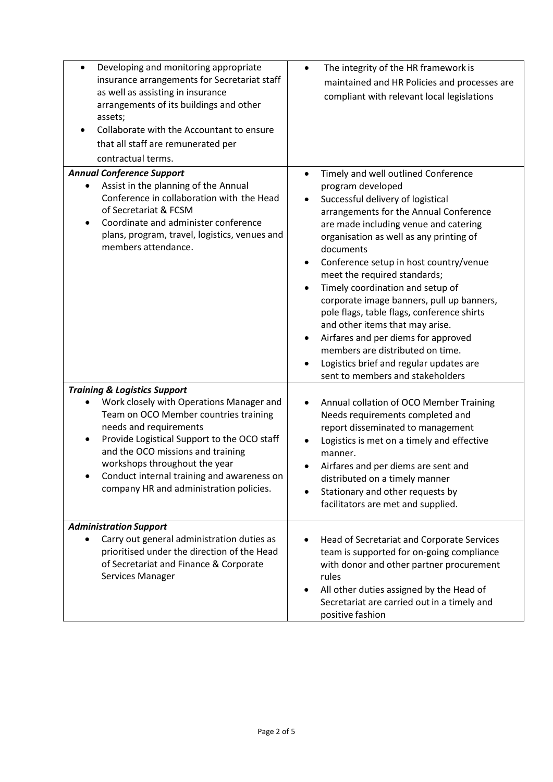| Developing and monitoring appropriate<br>insurance arrangements for Secretariat staff<br>as well as assisting in insurance<br>arrangements of its buildings and other<br>assets;<br>Collaborate with the Accountant to ensure<br>that all staff are remunerated per<br>contractual terms.                                                                            | The integrity of the HR framework is<br>$\bullet$<br>maintained and HR Policies and processes are<br>compliant with relevant local legislations                                                                                                                                                                                                                                                                                                                                                                                                                                                                                                                  |
|----------------------------------------------------------------------------------------------------------------------------------------------------------------------------------------------------------------------------------------------------------------------------------------------------------------------------------------------------------------------|------------------------------------------------------------------------------------------------------------------------------------------------------------------------------------------------------------------------------------------------------------------------------------------------------------------------------------------------------------------------------------------------------------------------------------------------------------------------------------------------------------------------------------------------------------------------------------------------------------------------------------------------------------------|
| <b>Annual Conference Support</b><br>Assist in the planning of the Annual<br>Conference in collaboration with the Head<br>of Secretariat & FCSM<br>Coordinate and administer conference<br>plans, program, travel, logistics, venues and<br>members attendance.                                                                                                       | Timely and well outlined Conference<br>$\bullet$<br>program developed<br>Successful delivery of logistical<br>arrangements for the Annual Conference<br>are made including venue and catering<br>organisation as well as any printing of<br>documents<br>Conference setup in host country/venue<br>٠<br>meet the required standards;<br>Timely coordination and setup of<br>corporate image banners, pull up banners,<br>pole flags, table flags, conference shirts<br>and other items that may arise.<br>Airfares and per diems for approved<br>members are distributed on time.<br>Logistics brief and regular updates are<br>sent to members and stakeholders |
| <b>Training &amp; Logistics Support</b><br>Work closely with Operations Manager and<br>Team on OCO Member countries training<br>needs and requirements<br>Provide Logistical Support to the OCO staff<br>and the OCO missions and training<br>workshops throughout the year<br>Conduct internal training and awareness on<br>company HR and administration policies. | Annual collation of OCO Member Training<br>Needs requirements completed and<br>report disseminated to management<br>Logistics is met on a timely and effective<br>manner.<br>Airfares and per diems are sent and<br>distributed on a timely manner<br>Stationary and other requests by<br>facilitators are met and supplied.                                                                                                                                                                                                                                                                                                                                     |
| <b>Administration Support</b><br>Carry out general administration duties as<br>prioritised under the direction of the Head<br>of Secretariat and Finance & Corporate<br>Services Manager                                                                                                                                                                             | Head of Secretariat and Corporate Services<br>team is supported for on-going compliance<br>with donor and other partner procurement<br>rules<br>All other duties assigned by the Head of<br>Secretariat are carried out in a timely and<br>positive fashion                                                                                                                                                                                                                                                                                                                                                                                                      |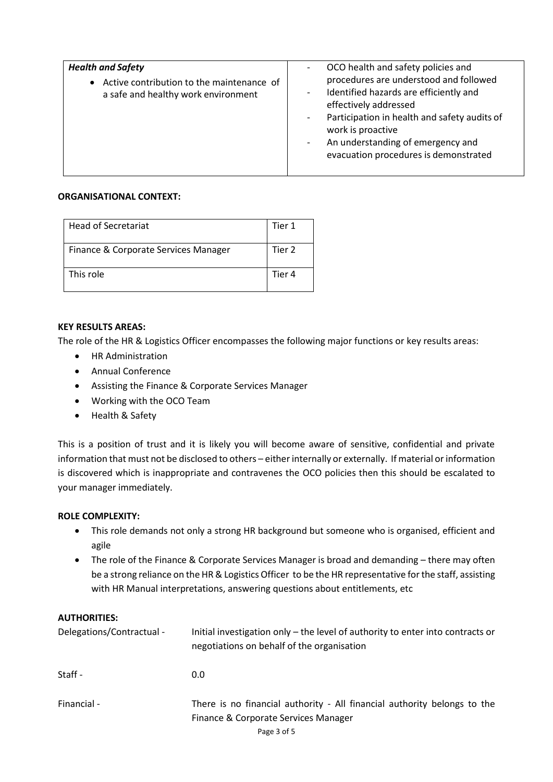| <b>Health and Safety</b><br>Active contribution to the maintenance of<br>$\bullet$<br>a safe and healthy work environment | OCO health and safety policies and<br>procedures are understood and followed<br>Identified hazards are efficiently and<br>effectively addressed<br>Participation in health and safety audits of<br>work is proactive<br>An understanding of emergency and<br>evacuation procedures is demonstrated |
|---------------------------------------------------------------------------------------------------------------------------|----------------------------------------------------------------------------------------------------------------------------------------------------------------------------------------------------------------------------------------------------------------------------------------------------|

## **ORGANISATIONAL CONTEXT:**

| Head of Secretariat                  | Tier 1 |
|--------------------------------------|--------|
| Finance & Corporate Services Manager | Tier 2 |
| This role                            | Tier 4 |

# **KEY RESULTS AREAS:**

The role of the HR & Logistics Officer encompasses the following major functions or key results areas:

- HR Administration
- Annual Conference
- Assisting the Finance & Corporate Services Manager
- Working with the OCO Team
- Health & Safety

This is a position of trust and it is likely you will become aware of sensitive, confidential and private information that must not be disclosed to others – either internally or externally. If material or information is discovered which is inappropriate and contravenes the OCO policies then this should be escalated to your manager immediately.

#### **ROLE COMPLEXITY:**

- This role demands not only a strong HR background but someone who is organised, efficient and agile
- The role of the Finance & Corporate Services Manager is broad and demanding there may often be a strong reliance on the HR & Logistics Officer to be the HR representative for the staff, assisting with HR Manual interpretations, answering questions about entitlements, etc

#### **AUTHORITIES:**

| Delegations/Contractual - | Initial investigation only - the level of authority to enter into contracts or<br>negotiations on behalf of the organisation |
|---------------------------|------------------------------------------------------------------------------------------------------------------------------|
| Staff -                   | 0.0                                                                                                                          |
| Financial -               | There is no financial authority - All financial authority belongs to the<br>Finance & Corporate Services Manager             |
|                           | $P$ <sub>200</sub> $2$ of $5$                                                                                                |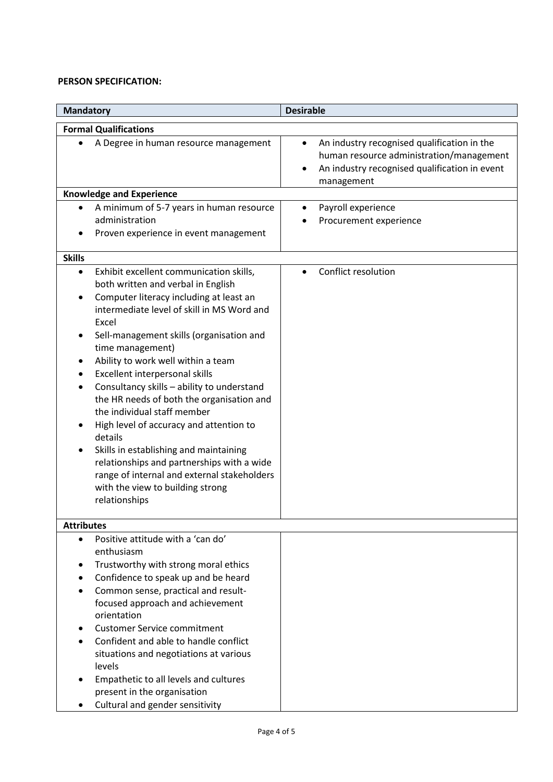# **PERSON SPECIFICATION:**

| <b>Mandatory</b>  |                                                                                                                                                                                                                                                                                                                                                                                                                                                                                                                                                                                                                                                                                                     | <b>Desirable</b>                                                                                                                                                                 |
|-------------------|-----------------------------------------------------------------------------------------------------------------------------------------------------------------------------------------------------------------------------------------------------------------------------------------------------------------------------------------------------------------------------------------------------------------------------------------------------------------------------------------------------------------------------------------------------------------------------------------------------------------------------------------------------------------------------------------------------|----------------------------------------------------------------------------------------------------------------------------------------------------------------------------------|
|                   | <b>Formal Qualifications</b>                                                                                                                                                                                                                                                                                                                                                                                                                                                                                                                                                                                                                                                                        |                                                                                                                                                                                  |
| $\bullet$         | A Degree in human resource management                                                                                                                                                                                                                                                                                                                                                                                                                                                                                                                                                                                                                                                               | An industry recognised qualification in the<br>$\bullet$<br>human resource administration/management<br>An industry recognised qualification in event<br>$\bullet$<br>management |
|                   | <b>Knowledge and Experience</b>                                                                                                                                                                                                                                                                                                                                                                                                                                                                                                                                                                                                                                                                     |                                                                                                                                                                                  |
| $\bullet$         | A minimum of 5-7 years in human resource<br>administration<br>Proven experience in event management                                                                                                                                                                                                                                                                                                                                                                                                                                                                                                                                                                                                 | Payroll experience<br>$\bullet$<br>Procurement experience                                                                                                                        |
| <b>Skills</b>     |                                                                                                                                                                                                                                                                                                                                                                                                                                                                                                                                                                                                                                                                                                     |                                                                                                                                                                                  |
| $\bullet$         | Exhibit excellent communication skills,<br>both written and verbal in English<br>Computer literacy including at least an<br>intermediate level of skill in MS Word and<br>Excel<br>Sell-management skills (organisation and<br>time management)<br>Ability to work well within a team<br>Excellent interpersonal skills<br>Consultancy skills - ability to understand<br>the HR needs of both the organisation and<br>the individual staff member<br>High level of accuracy and attention to<br>details<br>Skills in establishing and maintaining<br>relationships and partnerships with a wide<br>range of internal and external stakeholders<br>with the view to building strong<br>relationships | Conflict resolution                                                                                                                                                              |
| <b>Attributes</b> |                                                                                                                                                                                                                                                                                                                                                                                                                                                                                                                                                                                                                                                                                                     |                                                                                                                                                                                  |
| $\bullet$         | Positive attitude with a 'can do'<br>enthusiasm<br>Trustworthy with strong moral ethics<br>Confidence to speak up and be heard<br>Common sense, practical and result-<br>focused approach and achievement<br>orientation<br><b>Customer Service commitment</b><br>Confident and able to handle conflict<br>situations and negotiations at various<br>levels<br>Empathetic to all levels and cultures<br>present in the organisation<br>Cultural and gender sensitivity                                                                                                                                                                                                                              |                                                                                                                                                                                  |